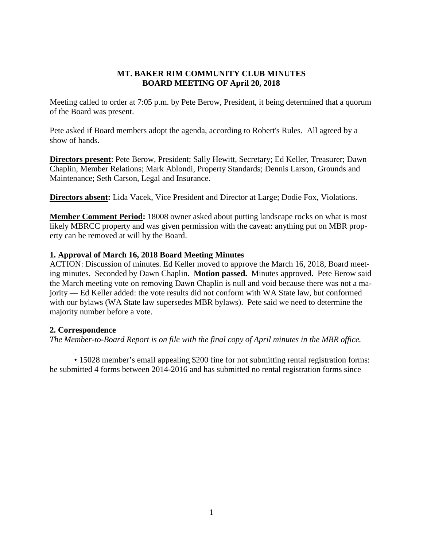#### **MT. BAKER RIM COMMUNITY CLUB MINUTES BOARD MEETING OF April 20, 2018**

Meeting called to order at 7:05 p.m. by Pete Berow, President, it being determined that a quorum of the Board was present.

Pete asked if Board members adopt the agenda, according to Robert's Rules. All agreed by a show of hands.

**Directors present**: Pete Berow, President; Sally Hewitt, Secretary; Ed Keller, Treasurer; Dawn Chaplin, Member Relations; Mark Ablondi, Property Standards; Dennis Larson, Grounds and Maintenance; Seth Carson, Legal and Insurance.

**Directors absent:** Lida Vacek, Vice President and Director at Large; Dodie Fox, Violations.

**Member Comment Period:** 18008 owner asked about putting landscape rocks on what is most likely MBRCC property and was given permission with the caveat: anything put on MBR property can be removed at will by the Board.

### **1. Approval of March 16, 2018 Board Meeting Minutes**

ACTION: Discussion of minutes. Ed Keller moved to approve the March 16, 2018, Board meeting minutes. Seconded by Dawn Chaplin. **Motion passed.** Minutes approved. Pete Berow said the March meeting vote on removing Dawn Chaplin is null and void because there was not a majority — Ed Keller added: the vote results did not conform with WA State law, but conformed with our bylaws (WA State law supersedes MBR bylaws). Pete said we need to determine the majority number before a vote.

#### **2. Correspondence**

*The Member-to-Board Report is on file with the final copy of April minutes in the MBR office.*

• 15028 member's email appealing \$200 fine for not submitting rental registration forms: he submitted 4 forms between 2014-2016 and has submitted no rental registration forms since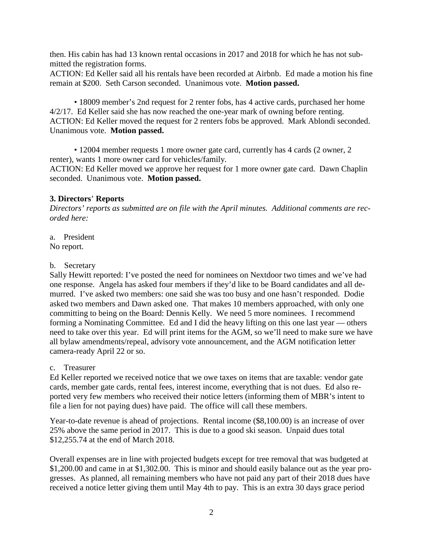then. His cabin has had 13 known rental occasions in 2017 and 2018 for which he has not submitted the registration forms.

ACTION: Ed Keller said all his rentals have been recorded at Airbnb. Ed made a motion his fine remain at \$200. Seth Carson seconded. Unanimous vote. **Motion passed.**

• 18009 member's 2nd request for 2 renter fobs, has 4 active cards, purchased her home 4/2/17. Ed Keller said she has now reached the one-year mark of owning before renting. ACTION: Ed Keller moved the request for 2 renters fobs be approved. Mark Ablondi seconded. Unanimous vote. **Motion passed.**

• 12004 member requests 1 more owner gate card, currently has 4 cards (2 owner, 2 renter), wants 1 more owner card for vehicles/family. ACTION: Ed Keller moved we approve her request for 1 more owner gate card. Dawn Chaplin

seconded. Unanimous vote. **Motion passed.**

### **3. Directors**' **Reports**

*Directors' reports as submitted are on file with the April minutes. Additional comments are recorded here:*

a. President No report.

### b. Secretary

Sally Hewitt reported: I've posted the need for nominees on Nextdoor two times and we've had one response. Angela has asked four members if they'd like to be Board candidates and all demurred. I've asked two members: one said she was too busy and one hasn't responded. Dodie asked two members and Dawn asked one. That makes 10 members approached, with only one committing to being on the Board: Dennis Kelly. We need 5 more nominees. I recommend forming a Nominating Committee. Ed and I did the heavy lifting on this one last year — others need to take over this year. Ed will print items for the AGM, so we'll need to make sure we have all bylaw amendments/repeal, advisory vote announcement, and the AGM notification letter camera-ready April 22 or so.

## c. Treasurer

Ed Keller reported we received notice that we owe taxes on items that are taxable: vendor gate cards, member gate cards, rental fees, interest income, everything that is not dues. Ed also reported very few members who received their notice letters (informing them of MBR's intent to file a lien for not paying dues) have paid. The office will call these members.

Year-to-date revenue is ahead of projections. Rental income (\$8,100.00) is an increase of over 25% above the same period in 2017. This is due to a good ski season. Unpaid dues total \$12,255.74 at the end of March 2018.

Overall expenses are in line with projected budgets except for tree removal that was budgeted at \$1,200.00 and came in at \$1,302.00. This is minor and should easily balance out as the year progresses. As planned, all remaining members who have not paid any part of their 2018 dues have received a notice letter giving them until May 4th to pay. This is an extra 30 days grace period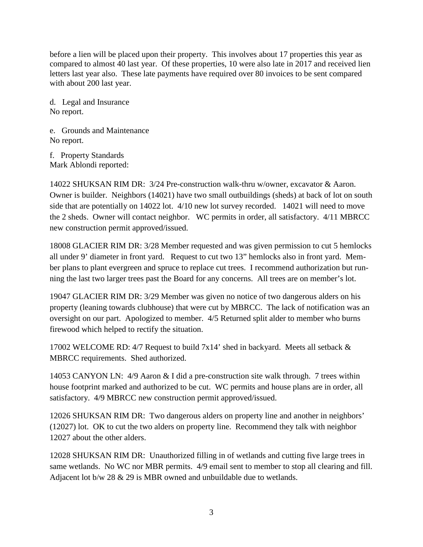before a lien will be placed upon their property. This involves about 17 properties this year as compared to almost 40 last year. Of these properties, 10 were also late in 2017 and received lien letters last year also. These late payments have required over 80 invoices to be sent compared with about 200 last year.

d. Legal and Insurance No report.

e. Grounds and Maintenance No report.

f. Property Standards Mark Ablondi reported:

14022 SHUKSAN RIM DR: 3/24 Pre-construction walk-thru w/owner, excavator & Aaron. Owner is builder. Neighbors (14021) have two small outbuildings (sheds) at back of lot on south side that are potentially on 14022 lot. 4/10 new lot survey recorded. 14021 will need to move the 2 sheds. Owner will contact neighbor. WC permits in order, all satisfactory. 4/11 MBRCC new construction permit approved/issued.

18008 GLACIER RIM DR: 3/28 Member requested and was given permission to cut 5 hemlocks all under 9' diameter in front yard. Request to cut two 13" hemlocks also in front yard. Member plans to plant evergreen and spruce to replace cut trees. I recommend authorization but running the last two larger trees past the Board for any concerns. All trees are on member's lot.

19047 GLACIER RIM DR: 3/29 Member was given no notice of two dangerous alders on his property (leaning towards clubhouse) that were cut by MBRCC. The lack of notification was an oversight on our part. Apologized to member. 4/5 Returned split alder to member who burns firewood which helped to rectify the situation.

17002 WELCOME RD: 4/7 Request to build 7x14' shed in backyard. Meets all setback & MBRCC requirements. Shed authorized.

14053 CANYON LN: 4/9 Aaron & I did a pre-construction site walk through. 7 trees within house footprint marked and authorized to be cut. WC permits and house plans are in order, all satisfactory. 4/9 MBRCC new construction permit approved/issued.

12026 SHUKSAN RIM DR: Two dangerous alders on property line and another in neighbors' (12027) lot. OK to cut the two alders on property line. Recommend they talk with neighbor 12027 about the other alders.

12028 SHUKSAN RIM DR: Unauthorized filling in of wetlands and cutting five large trees in same wetlands. No WC nor MBR permits. 4/9 email sent to member to stop all clearing and fill. Adjacent lot b/w 28 & 29 is MBR owned and unbuildable due to wetlands.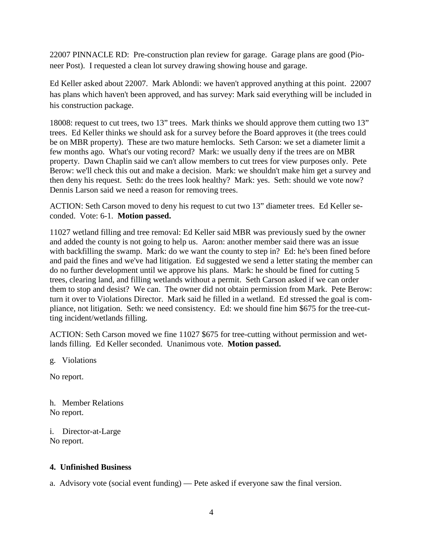22007 PINNACLE RD: Pre-construction plan review for garage. Garage plans are good (Pioneer Post). I requested a clean lot survey drawing showing house and garage.

Ed Keller asked about 22007. Mark Ablondi: we haven't approved anything at this point. 22007 has plans which haven't been approved, and has survey: Mark said everything will be included in his construction package.

18008: request to cut trees, two 13" trees. Mark thinks we should approve them cutting two 13" trees. Ed Keller thinks we should ask for a survey before the Board approves it (the trees could be on MBR property). These are two mature hemlocks. Seth Carson: we set a diameter limit a few months ago. What's our voting record? Mark: we usually deny if the trees are on MBR property. Dawn Chaplin said we can't allow members to cut trees for view purposes only. Pete Berow: we'll check this out and make a decision. Mark: we shouldn't make him get a survey and then deny his request. Seth: do the trees look healthy? Mark: yes. Seth: should we vote now? Dennis Larson said we need a reason for removing trees.

ACTION: Seth Carson moved to deny his request to cut two 13" diameter trees. Ed Keller seconded. Vote: 6-1. **Motion passed.**

11027 wetland filling and tree removal: Ed Keller said MBR was previously sued by the owner and added the county is not going to help us. Aaron: another member said there was an issue with backfilling the swamp. Mark: do we want the county to step in? Ed: he's been fined before and paid the fines and we've had litigation. Ed suggested we send a letter stating the member can do no further development until we approve his plans. Mark: he should be fined for cutting 5 trees, clearing land, and filling wetlands without a permit. Seth Carson asked if we can order them to stop and desist? We can. The owner did not obtain permission from Mark. Pete Berow: turn it over to Violations Director. Mark said he filled in a wetland. Ed stressed the goal is compliance, not litigation. Seth: we need consistency. Ed: we should fine him \$675 for the tree-cutting incident/wetlands filling.

ACTION: Seth Carson moved we fine 11027 \$675 for tree-cutting without permission and wetlands filling. Ed Keller seconded. Unanimous vote. **Motion passed.**

g. Violations

No report.

h. Member Relations No report.

i. Director-at-Large No report.

## **4. Unfinished Business**

a. Advisory vote (social event funding) — Pete asked if everyone saw the final version.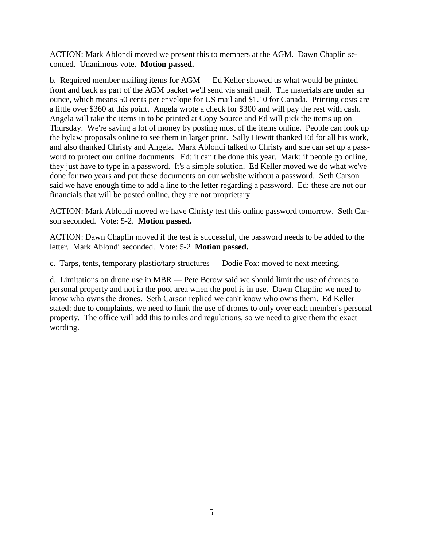ACTION: Mark Ablondi moved we present this to members at the AGM. Dawn Chaplin seconded. Unanimous vote. **Motion passed.**

b. Required member mailing items for AGM — Ed Keller showed us what would be printed front and back as part of the AGM packet we'll send via snail mail. The materials are under an ounce, which means 50 cents per envelope for US mail and \$1.10 for Canada. Printing costs are a little over \$360 at this point. Angela wrote a check for \$300 and will pay the rest with cash. Angela will take the items in to be printed at Copy Source and Ed will pick the items up on Thursday. We're saving a lot of money by posting most of the items online. People can look up the bylaw proposals online to see them in larger print. Sally Hewitt thanked Ed for all his work, and also thanked Christy and Angela. Mark Ablondi talked to Christy and she can set up a password to protect our online documents. Ed: it can't be done this year. Mark: if people go online, they just have to type in a password. It's a simple solution. Ed Keller moved we do what we've done for two years and put these documents on our website without a password. Seth Carson said we have enough time to add a line to the letter regarding a password. Ed: these are not our financials that will be posted online, they are not proprietary.

ACTION: Mark Ablondi moved we have Christy test this online password tomorrow. Seth Carson seconded. Vote: 5-2. **Motion passed.**

ACTION: Dawn Chaplin moved if the test is successful, the password needs to be added to the letter. Mark Ablondi seconded. Vote: 5-2 **Motion passed.**

c. Tarps, tents, temporary plastic/tarp structures — Dodie Fox: moved to next meeting.

d. Limitations on drone use in MBR — Pete Berow said we should limit the use of drones to personal property and not in the pool area when the pool is in use. Dawn Chaplin: we need to know who owns the drones. Seth Carson replied we can't know who owns them. Ed Keller stated: due to complaints, we need to limit the use of drones to only over each member's personal property. The office will add this to rules and regulations, so we need to give them the exact wording.